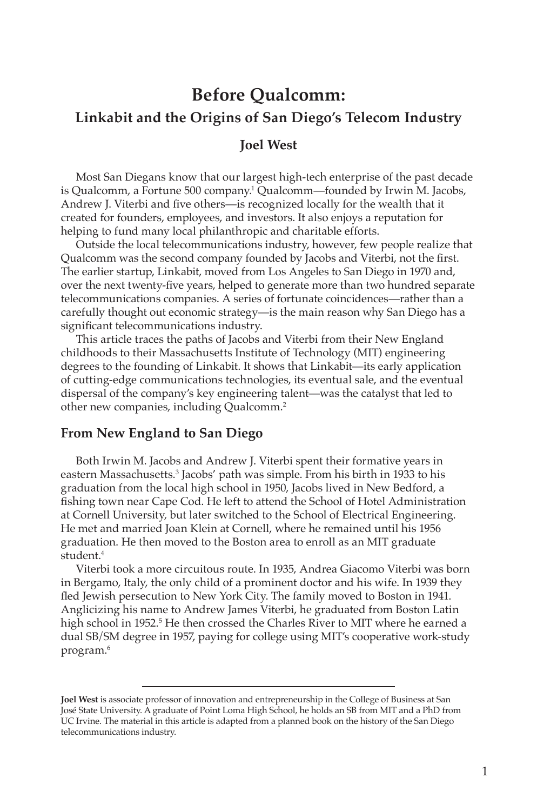# **Before Qualcomm: Linkabit and the Origins of San Diego's Telecom Industry**

#### **Joel West**

Most San Diegans know that our largest high-tech enterprise of the past decade is Qualcomm, a Fortune 500 company.1 Qualcomm—founded by Irwin M. Jacobs, Andrew J. Viterbi and five others—is recognized locally for the wealth that it created for founders, employees, and investors. It also enjoys a reputation for helping to fund many local philanthropic and charitable efforts.

Outside the local telecommunications industry, however, few people realize that Qualcomm was the second company founded by Jacobs and Viterbi, not the first. The earlier startup, Linkabit, moved from Los Angeles to San Diego in 1970 and, over the next twenty-five years, helped to generate more than two hundred separate telecommunications companies. A series of fortunate coincidences—rather than a carefully thought out economic strategy—is the main reason why San Diego has a significant telecommunications industry.

This article traces the paths of Jacobs and Viterbi from their New England childhoods to their Massachusetts Institute of Technology (MIT) engineering degrees to the founding of Linkabit. It shows that Linkabit—its early application of cutting-edge communications technologies, its eventual sale, and the eventual dispersal of the company's key engineering talent—was the catalyst that led to other new companies, including Qualcomm.2

#### **From New England to San Diego**

Both Irwin M. Jacobs and Andrew J. Viterbi spent their formative years in eastern Massachusetts.3 Jacobs' path was simple. From his birth in 1933 to his graduation from the local high school in 1950, Jacobs lived in New Bedford, a fishing town near Cape Cod. He left to attend the School of Hotel Administration at Cornell University, but later switched to the School of Electrical Engineering. He met and married Joan Klein at Cornell, where he remained until his 1956 graduation. He then moved to the Boston area to enroll as an MIT graduate student.<sup>4</sup>

Viterbi took a more circuitous route. In 1935, Andrea Giacomo Viterbi was born in Bergamo, Italy, the only child of a prominent doctor and his wife. In 1939 they fled Jewish persecution to New York City. The family moved to Boston in 1941. Anglicizing his name to Andrew James Viterbi, he graduated from Boston Latin high school in 1952.<sup>5</sup> He then crossed the Charles River to MIT where he earned a dual SB/SM degree in 1957, paying for college using MIT's cooperative work-study program.6

**Joel West** is associate professor of innovation and entrepreneurship in the College of Business at San José State University. A graduate of Point Loma High School, he holds an SB from MIT and a PhD from UC Irvine. The material in this article is adapted from a planned book on the history of the San Diego telecommunications industry.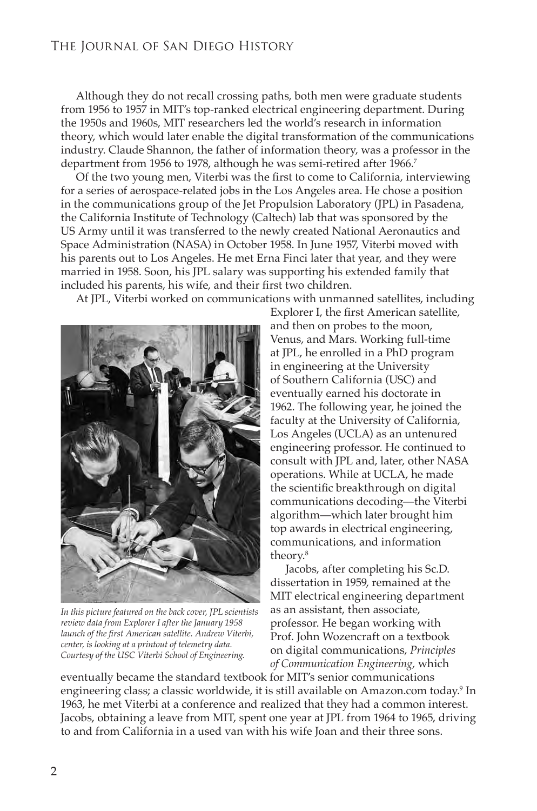Although they do not recall crossing paths, both men were graduate students from 1956 to 1957 in MIT's top-ranked electrical engineering department. During the 1950s and 1960s, MIT researchers led the world's research in information theory, which would later enable the digital transformation of the communications industry. Claude Shannon, the father of information theory, was a professor in the department from 1956 to 1978, although he was semi-retired after 1966.<sup>7</sup>

Of the two young men, Viterbi was the first to come to California, interviewing for a series of aerospace-related jobs in the Los Angeles area. He chose a position in the communications group of the Jet Propulsion Laboratory (JPL) in Pasadena, the California Institute of Technology (Caltech) lab that was sponsored by the US Army until it was transferred to the newly created National Aeronautics and Space Administration (NASA) in October 1958. In June 1957, Viterbi moved with his parents out to Los Angeles. He met Erna Finci later that year, and they were married in 1958. Soon, his JPL salary was supporting his extended family that included his parents, his wife, and their first two children.

At JPL, Viterbi worked on communications with unmanned satellites, including



*In this picture featured on the back cover, JPL scientists review data from Explorer I after the January 1958 launch of the first American satellite. Andrew Viterbi, center, is looking at a printout of telemetry data. Courtesy of the USC Viterbi School of Engineering.*

Explorer I, the first American satellite, and then on probes to the moon, Venus, and Mars. Working full-time at JPL, he enrolled in a PhD program in engineering at the University of Southern California (USC) and eventually earned his doctorate in 1962. The following year, he joined the faculty at the University of California, Los Angeles (UCLA) as an untenured engineering professor. He continued to consult with JPL and, later, other NASA operations. While at UCLA, he made the scientific breakthrough on digital communications decoding—the Viterbi algorithm—which later brought him top awards in electrical engineering, communications, and information theory.8

Jacobs, after completing his Sc.D. dissertation in 1959, remained at the MIT electrical engineering department as an assistant, then associate, professor. He began working with Prof. John Wozencraft on a textbook on digital communications, *Principles of Communication Engineering,* which

eventually became the standard textbook for MIT's senior communications engineering class; a classic worldwide, it is still available on Amazon.com today.9 In 1963, he met Viterbi at a conference and realized that they had a common interest. Jacobs, obtaining a leave from MIT, spent one year at JPL from 1964 to 1965, driving to and from California in a used van with his wife Joan and their three sons.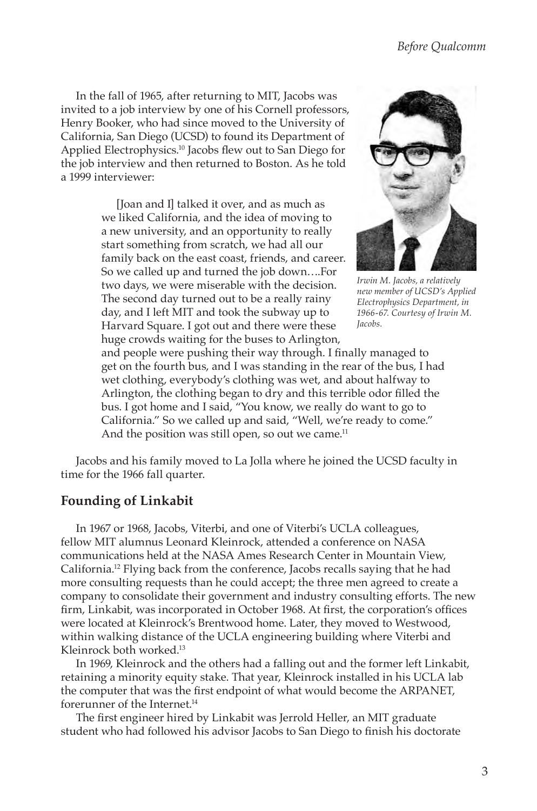In the fall of 1965, after returning to MIT, Jacobs was invited to a job interview by one of his Cornell professors, Henry Booker, who had since moved to the University of California, San Diego (UCSD) to found its Department of Applied Electrophysics.10 Jacobs flew out to San Diego for the job interview and then returned to Boston. As he told a 1999 interviewer:

> [Joan and I] talked it over, and as much as we liked California, and the idea of moving to a new university, and an opportunity to really start something from scratch, we had all our family back on the east coast, friends, and career. So we called up and turned the job down….For two days, we were miserable with the decision. The second day turned out to be a really rainy day, and I left MIT and took the subway up to Harvard Square. I got out and there were these huge crowds waiting for the buses to Arlington,



*Irwin M. Jacobs, a relatively new member of UCSD's Applied Electrophysics Department, in 1966-67. Courtesy of Irwin M. Jacobs.*

and people were pushing their way through. I finally managed to get on the fourth bus, and I was standing in the rear of the bus, I had wet clothing, everybody's clothing was wet, and about halfway to Arlington, the clothing began to dry and this terrible odor filled the bus. I got home and I said, "You know, we really do want to go to California." So we called up and said, "Well, we're ready to come." And the position was still open, so out we came.<sup>11</sup>

Jacobs and his family moved to La Jolla where he joined the UCSD faculty in time for the 1966 fall quarter.

#### **Founding of Linkabit**

In 1967 or 1968, Jacobs, Viterbi, and one of Viterbi's UCLA colleagues, fellow MIT alumnus Leonard Kleinrock, attended a conference on NASA communications held at the NASA Ames Research Center in Mountain View, California.12 Flying back from the conference, Jacobs recalls saying that he had more consulting requests than he could accept; the three men agreed to create a company to consolidate their government and industry consulting efforts. The new firm, Linkabit, was incorporated in October 1968. At first, the corporation's offices were located at Kleinrock's Brentwood home. Later, they moved to Westwood, within walking distance of the UCLA engineering building where Viterbi and Kleinrock both worked.13

In 1969, Kleinrock and the others had a falling out and the former left Linkabit, retaining a minority equity stake. That year, Kleinrock installed in his UCLA lab the computer that was the first endpoint of what would become the ARPANET, forerunner of the Internet.<sup>14</sup>

The first engineer hired by Linkabit was Jerrold Heller, an MIT graduate student who had followed his advisor Jacobs to San Diego to finish his doctorate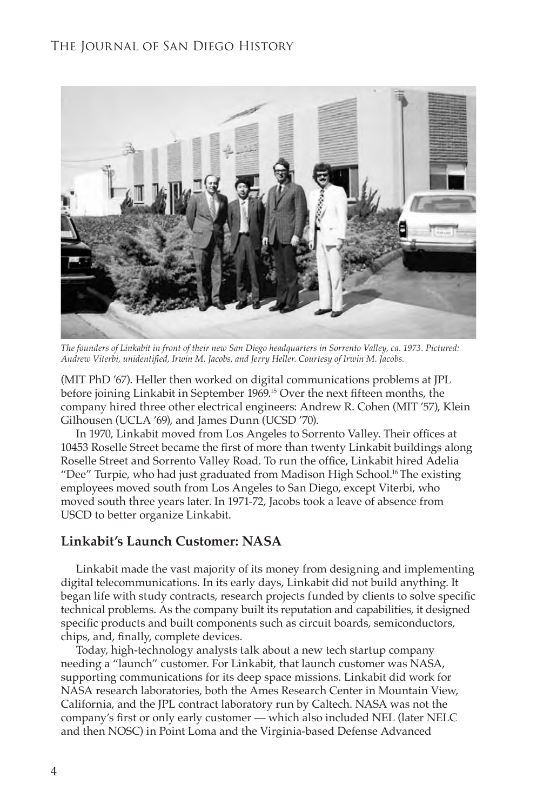

*The founders of Linkabit in front of their new San Diego headquarters in Sorrento Valley, ca. 1973. Pictured: Andrew Viterbi, unidentified, Irwin M. Jacobs, and Jerry Heller. Courtesy of Irwin M. Jacobs.*

(MIT PhD '67). Heller then worked on digital communications problems at JPL before joining Linkabit in September 1969.15 Over the next fifteen months, the company hired three other electrical engineers: Andrew R. Cohen (MIT '57), Klein Gilhousen (UCLA '69), and James Dunn (UCSD '70).

In 1970, Linkabit moved from Los Angeles to Sorrento Valley. Their offices at 10453 Roselle Street became the first of more than twenty Linkabit buildings along Roselle Street and Sorrento Valley Road. To run the office, Linkabit hired Adelia "Dee" Turpie, who had just graduated from Madison High School.<sup>16</sup> The existing employees moved south from Los Angeles to San Diego, except Viterbi, who moved south three years later. In 1971-72, Jacobs took a leave of absence from USCD to better organize Linkabit.

#### **Linkabit's Launch Customer: NASA**

Linkabit made the vast majority of its money from designing and implementing digital telecommunications. In its early days, Linkabit did not build anything. It began life with study contracts, research projects funded by clients to solve specific technical problems. As the company built its reputation and capabilities, it designed specific products and built components such as circuit boards, semiconductors, chips, and, finally, complete devices.

Today, high-technology analysts talk about a new tech startup company needing a "launch" customer. For Linkabit, that launch customer was NASA, supporting communications for its deep space missions. Linkabit did work for NASA research laboratories, both the Ames Research Center in Mountain View, California, and the JPL contract laboratory run by Caltech. NASA was not the company's first or only early customer — which also included NEL (later NELC and then NOSC) in Point Loma and the Virginia-based Defense Advanced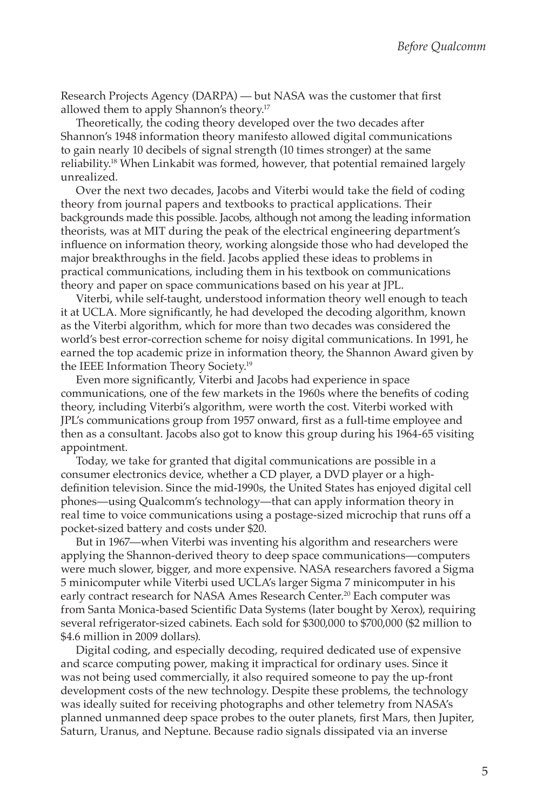Research Projects Agency (DARPA) — but NASA was the customer that first allowed them to apply Shannon's theory.17

Theoretically, the coding theory developed over the two decades after Shannon's 1948 information theory manifesto allowed digital communications to gain nearly 10 decibels of signal strength (10 times stronger) at the same reliability.<sup>18</sup> When Linkabit was formed, however, that potential remained largely unrealized.

Over the next two decades, Jacobs and Viterbi would take the field of coding theory from journal papers and textbooks to practical applications. Their backgrounds made this possible. Jacobs, although not among the leading information theorists, was at MIT during the peak of the electrical engineering department's influence on information theory, working alongside those who had developed the major breakthroughs in the field. Jacobs applied these ideas to problems in practical communications, including them in his textbook on communications theory and paper on space communications based on his year at JPL.

Viterbi, while self-taught, understood information theory well enough to teach it at UCLA. More significantly, he had developed the decoding algorithm, known as the Viterbi algorithm, which for more than two decades was considered the world's best error-correction scheme for noisy digital communications. In 1991, he earned the top academic prize in information theory, the Shannon Award given by the IEEE Information Theory Society.19

Even more significantly, Viterbi and Jacobs had experience in space communications, one of the few markets in the 1960s where the benefits of coding theory, including Viterbi's algorithm, were worth the cost. Viterbi worked with JPL's communications group from 1957 onward, first as a full-time employee and then as a consultant. Jacobs also got to know this group during his 1964-65 visiting appointment.

Today, we take for granted that digital communications are possible in a consumer electronics device, whether a CD player, a DVD player or a highdefinition television. Since the mid-1990s, the United States has enjoyed digital cell phones—using Qualcomm's technology—that can apply information theory in real time to voice communications using a postage-sized microchip that runs off a pocket-sized battery and costs under \$20.

But in 1967—when Viterbi was inventing his algorithm and researchers were applying the Shannon-derived theory to deep space communications—computers were much slower, bigger, and more expensive. NASA researchers favored a Sigma 5 minicomputer while Viterbi used UCLA's larger Sigma 7 minicomputer in his early contract research for NASA Ames Research Center.<sup>20</sup> Each computer was from Santa Monica-based Scientific Data Systems (later bought by Xerox), requiring several refrigerator-sized cabinets. Each sold for \$300,000 to \$700,000 (\$2 million to \$4.6 million in 2009 dollars).

Digital coding, and especially decoding, required dedicated use of expensive and scarce computing power, making it impractical for ordinary uses. Since it was not being used commercially, it also required someone to pay the up-front development costs of the new technology. Despite these problems, the technology was ideally suited for receiving photographs and other telemetry from NASA's planned unmanned deep space probes to the outer planets, first Mars, then Jupiter, Saturn, Uranus, and Neptune. Because radio signals dissipated via an inverse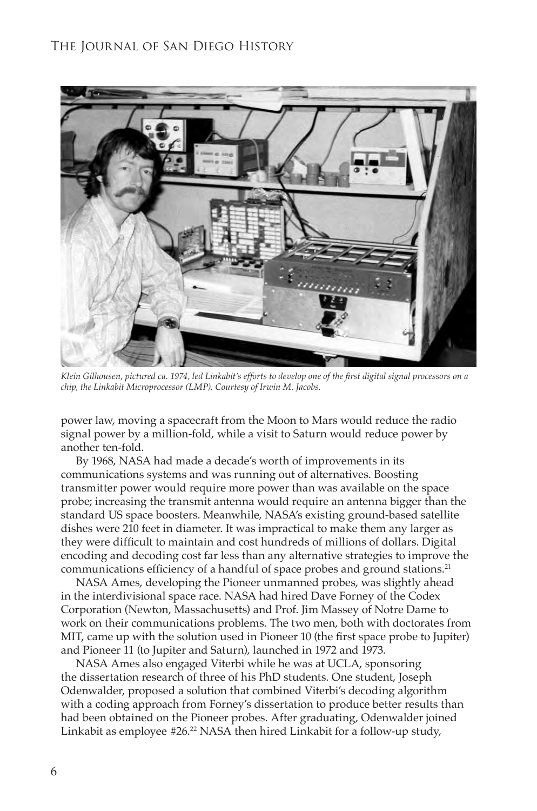

*Klein Gilhousen, pictured ca. 1974, led Linkabit's efforts to develop one of the first digital signal processors on a chip, the Linkabit Microprocessor (LMP). Courtesy of Irwin M. Jacobs.*

power law, moving a spacecraft from the Moon to Mars would reduce the radio signal power by a million-fold, while a visit to Saturn would reduce power by another ten-fold.

By 1968, NASA had made a decade's worth of improvements in its communications systems and was running out of alternatives. Boosting transmitter power would require more power than was available on the space probe; increasing the transmit antenna would require an antenna bigger than the standard US space boosters. Meanwhile, NASA's existing ground-based satellite dishes were 210 feet in diameter. It was impractical to make them any larger as they were difficult to maintain and cost hundreds of millions of dollars. Digital encoding and decoding cost far less than any alternative strategies to improve the communications efficiency of a handful of space probes and ground stations.<sup>21</sup>

NASA Ames, developing the Pioneer unmanned probes, was slightly ahead in the interdivisional space race. NASA had hired Dave Forney of the Codex Corporation (Newton, Massachusetts) and Prof. Jim Massey of Notre Dame to work on their communications problems. The two men, both with doctorates from MIT, came up with the solution used in Pioneer 10 (the first space probe to Jupiter) and Pioneer 11 (to Jupiter and Saturn), launched in 1972 and 1973.

NASA Ames also engaged Viterbi while he was at UCLA, sponsoring the dissertation research of three of his PhD students. One student, Joseph Odenwalder, proposed a solution that combined Viterbi's decoding algorithm with a coding approach from Forney's dissertation to produce better results than had been obtained on the Pioneer probes. After graduating, Odenwalder joined Linkabit as employee #26.<sup>22</sup> NASA then hired Linkabit for a follow-up study,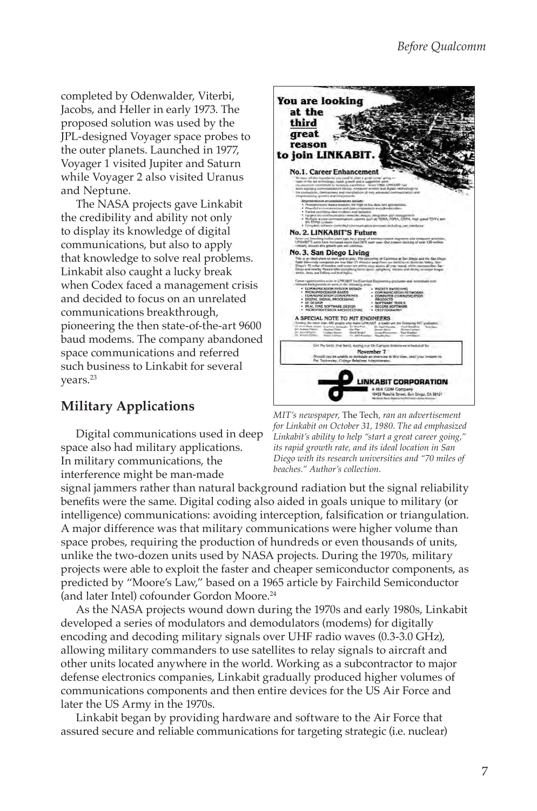completed by Odenwalder, Viterbi, Jacobs, and Heller in early 1973. The proposed solution was used by the JPL-designed Voyager space probes to the outer planets. Launched in 1977, Voyager 1 visited Jupiter and Saturn while Voyager 2 also visited Uranus and Neptune.

The NASA projects gave Linkabit the credibility and ability not only to display its knowledge of digital communications, but also to apply that knowledge to solve real problems. Linkabit also caught a lucky break when Codex faced a management crisis and decided to focus on an unrelated communications breakthrough, pioneering the then state-of-the-art 9600 baud modems. The company abandoned space communications and referred such business to Linkabit for several years.<sup>23</sup>

# **Military Applications**

Digital communications used in deep space also had military applications. In military communications, the interference might be man-made



*MIT's newspaper,* The Tech*, ran an advertisement for Linkabit on October 31, 1980. The ad emphasized Linkabit's ability to help "start a great career going," its rapid growth rate, and its ideal location in San Diego with its research universities and "70 miles of beaches." Author's collection.*

signal jammers rather than natural background radiation but the signal reliability benefits were the same. Digital coding also aided in goals unique to military (or intelligence) communications: avoiding interception, falsification or triangulation. A major difference was that military communications were higher volume than space probes, requiring the production of hundreds or even thousands of units, unlike the two-dozen units used by NASA projects. During the 1970s, military projects were able to exploit the faster and cheaper semiconductor components, as predicted by "Moore's Law," based on a 1965 article by Fairchild Semiconductor (and later Intel) cofounder Gordon Moore.24

As the NASA projects wound down during the 1970s and early 1980s, Linkabit developed a series of modulators and demodulators (modems) for digitally encoding and decoding military signals over UHF radio waves (0.3-3.0 GHz), allowing military commanders to use satellites to relay signals to aircraft and other units located anywhere in the world. Working as a subcontractor to major defense electronics companies, Linkabit gradually produced higher volumes of communications components and then entire devices for the US Air Force and later the US Army in the 1970s.

Linkabit began by providing hardware and software to the Air Force that assured secure and reliable communications for targeting strategic (i.e. nuclear)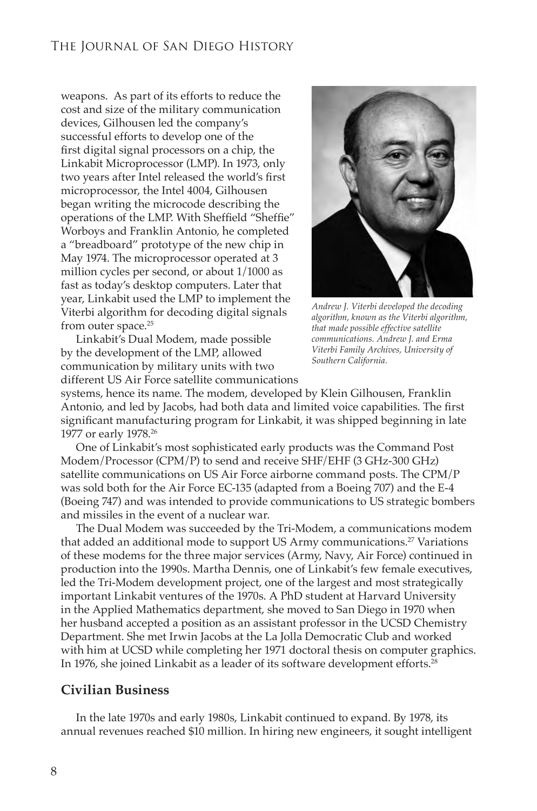weapons. As part of its efforts to reduce the cost and size of the military communication devices, Gilhousen led the company's successful efforts to develop one of the first digital signal processors on a chip, the Linkabit Microprocessor (LMP). In 1973, only two years after Intel released the world's first microprocessor, the Intel 4004, Gilhousen began writing the microcode describing the operations of the LMP. With Sheffield "Sheffie" Worboys and Franklin Antonio, he completed a "breadboard" prototype of the new chip in May 1974. The microprocessor operated at 3 million cycles per second, or about 1/1000 as fast as today's desktop computers. Later that year, Linkabit used the LMP to implement the Viterbi algorithm for decoding digital signals from outer space.<sup>25</sup>

Linkabit's Dual Modem, made possible by the development of the LMP, allowed communication by military units with two different US Air Force satellite communications



*Andrew J. Viterbi developed the decoding algorithm, known as the Viterbi algorithm, that made possible effective satellite communications. Andrew J. and Erma Viterbi Family Archives, University of Southern California.*

systems, hence its name. The modem, developed by Klein Gilhousen, Franklin Antonio, and led by Jacobs, had both data and limited voice capabilities. The first significant manufacturing program for Linkabit, it was shipped beginning in late 1977 or early 1978.26

One of Linkabit's most sophisticated early products was the Command Post Modem/Processor (CPM/P) to send and receive SHF/EHF (3 GHz-300 GHz) satellite communications on US Air Force airborne command posts. The CPM/P was sold both for the Air Force EC-135 (adapted from a Boeing 707) and the E-4 (Boeing 747) and was intended to provide communications to US strategic bombers and missiles in the event of a nuclear war.

The Dual Modem was succeeded by the Tri-Modem, a communications modem that added an additional mode to support US Army communications.<sup>27</sup> Variations of these modems for the three major services (Army, Navy, Air Force) continued in production into the 1990s. Martha Dennis, one of Linkabit's few female executives, led the Tri-Modem development project, one of the largest and most strategically important Linkabit ventures of the 1970s. A PhD student at Harvard University in the Applied Mathematics department, she moved to San Diego in 1970 when her husband accepted a position as an assistant professor in the UCSD Chemistry Department. She met Irwin Jacobs at the La Jolla Democratic Club and worked with him at UCSD while completing her 1971 doctoral thesis on computer graphics. In 1976, she joined Linkabit as a leader of its software development efforts.<sup>28</sup>

#### **Civilian Business**

In the late 1970s and early 1980s, Linkabit continued to expand. By 1978, its annual revenues reached \$10 million. In hiring new engineers, it sought intelligent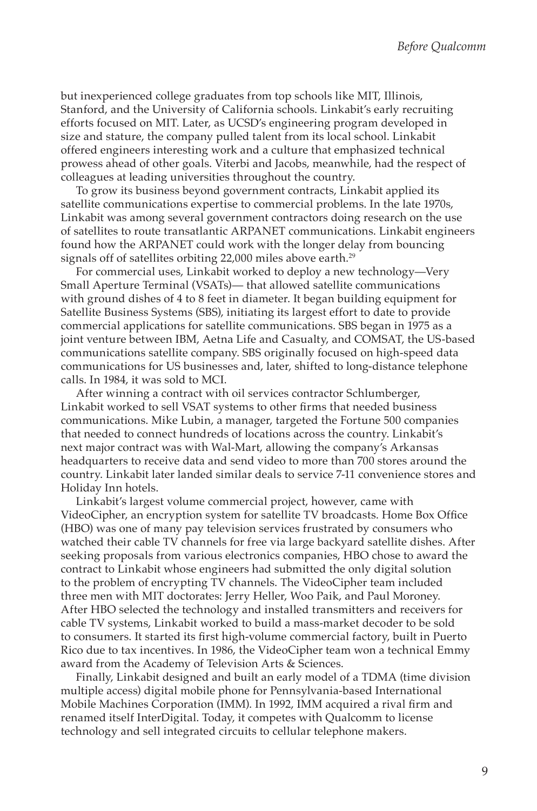but inexperienced college graduates from top schools like MIT, Illinois, Stanford, and the University of California schools. Linkabit's early recruiting efforts focused on MIT. Later, as UCSD 's engineering program developed in size and stature, the company pulled talent from its local school. Linkabit offered engineers interesting work and a culture that emphasized technical prowess ahead of other goals. Viterbi and Jacobs, meanwhile, had the respect of colleagues at leading universities throughout the country.

To grow its business beyond government contracts, Linkabit applied its satellite communications expertise to commercial problems. In the late 1970s, Linkabit was among several government contractors doing research on the use of satellites to route transatlantic AR PAN ET communications. Linkabit engineers found how the ARPANET could work with the longer delay from bouncing signals off of satellites orbiting 22,000 miles above earth.<sup>29</sup>

For commercial uses, Linkabit worked to deploy a new technology—Very Small Aperture Terminal (VSATs)— that allowed satellite communications with ground dishes of 4 to 8 feet in diameter. It began building equipment for Satellite Business Systems (SBS), initiating its largest effort to date to provide commercial applications for satellite communications. SBS began in 1975 as a joint venture between IBM, Aetna Life and Casualty, and COMSAT, the US-based communications satellite company. SBS originally focused on high-speed data communications for US businesses and, later, shifted to long-distance telephone calls. In 1984, it was sold to MCI.

After winning a contract with oil services contractor Schlumberger, Linkabit worked to sell VSAT systems to other firms that needed business communications. Mike Lubin, a manager, targeted the Fortune 500 companies that needed to connect hundreds of locations across the country. Linkabit's next major contract was with Wal-Mart, allowing the company's Arkansas headquarters to receive data and send video to more than 700 stores around the country. Linkabit later landed similar deals to service 7-11 convenience stores and Holiday Inn hotels.

Linkabit's largest volume commercial project, however, came with VideoCipher, an encryption system for satellite TV broadcasts. Home Box Office (HBO) was one of many pay television services frustrated by consumers who watched their cable TV channels for free via large backyard satellite dishes. After seeking proposals from various electronics companies, HBO chose to award the contract to Linkabit whose engineers had submitted the only digital solution to the problem of encrypting TV channels. The VideoCipher team included three men with MIT doctorates: Jerry Heller, Woo Paik, and Paul Moroney. After HBO selected the technology and installed transmitters and receivers for cable TV systems, Linkabit worked to build a mass-market decoder to be sold to consumers. It started its first high-volume commercial factory, built in Puerto Rico due to tax incentives. In 1986, the VideoCipher team won a technical Emmy award from the Academy of Television Arts & Sciences.

Finally, Linkabit designed and built an early model of a TDMA (time division multiple access) digital mobile phone for Pennsylvania-based International Mobile Machines Corporation (IMM). In 1992, IMM acquired a rival firm and renamed itself InterDigital. Today, it competes with Qualcomm to license technology and sell integrated circuits to cellular telephone makers.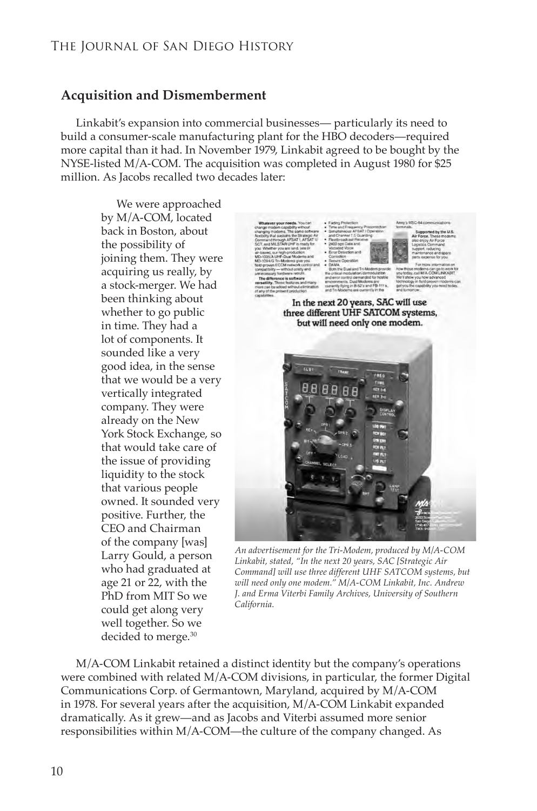## **Acquisition and Dismemberment**

Linkabit's expansion into commercial businesses— particularly its need to build a consumer-scale manufacturing plant for the HBO decoders—required more capital than it had. In November 1979, Linkabit agreed to be bought by the NYSE-listed M/A-COM. The acquisition was completed in August 1980 for \$25 million. As Jacobs recalled two decades later:

> We were approached by M/A-COM, located back in Boston, about the possibility of joining them. They were acquiring us really, by a stock-merger. We had been thinking about whether to go public in time. They had a lot of components. It sounded like a very good idea, in the sense that we would be a very vertically integrated company. They were already on the New York Stock Exchange, so that would take care of the issue of providing liquidity to the stock that various people owned. It sounded very positive. Further, the CEO and Chairman of the company [was] Larry Gould, a person who had graduated at age 21 or 22, with the PhD from MIT So we could get along very well together. So we decided to merge.30



Amy a MSC-64 comm

In the next 20 years, SAC will use three different UHF SATCOM systems, but will need only one modem.



*An advertisement for the Tri-Modem, produced by M/A-COM Linkabit, stated, "In the next 20 years, SAC [Strategic Air Command] will use three different UHF SATCOM systems, but will need only one modem." M/A-COM Linkabit, Inc. Andrew J. and Erma Viterbi Family Archives, University of Southern California.*

M/A-COM Linkabit retained a distinct identity but the company's operations were combined with related M/A-COM divisions, in particular, the former Digital Communications Corp. of Germantown, Maryland, acquired by M/A-COM in 1978. For several years after the acquisition, M/A-COM Linkabit expanded dramatically. As it grew—and as Jacobs and Viterbi assumed more senior responsibilities within M/A-COM—the culture of the company changed. As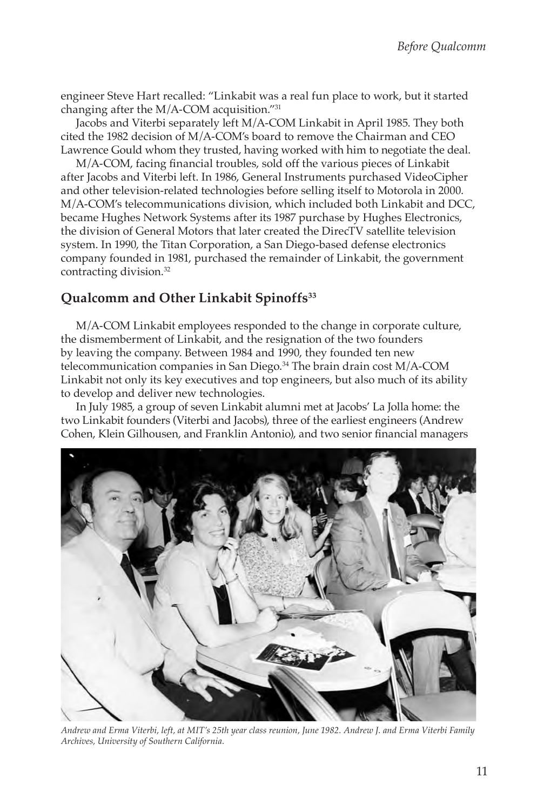engineer Steve Hart recalled: "Linkabit was a real fun place to work, but it started changing after the M/A-COM acquisition."31

Jacobs and Viterbi separately left M/A-COM Linkabit in April 1985. They both cited the 1982 decision of M/A-COM's board to remove the Chairman and CEO Lawrence Gould whom they trusted, having worked with him to negotiate the deal.

M/A-COM, facing financial troubles, sold off the various pieces of Linkabit after Jacobs and Viterbi left. In 1986, General Instruments purchased VideoCipher and other television-related technologies before selling itself to Motorola in 2000. M/A-COM's telecommunications division, which included both Linkabit and DCC, became Hughes Network Systems after its 1987 purchase by Hughes Electronics, the division of General Motors that later created the DirecTV satellite television system. In 1990, the Titan Corporation, a San Diego-based defense electronics company founded in 1981, purchased the remainder of Linkabit, the government contracting division.<sup>32</sup>

### **Qualcomm and Other Linkabit Spinoffs33**

M/A-COM Linkabit employees responded to the change in corporate culture, the dismemberment of Linkabit, and the resignation of the two founders by leaving the company. Between 1984 and 1990, they founded ten new telecommunication companies in San Diego.34 The brain drain cost M/A-COM Linkabit not only its key executives and top engineers, but also much of its ability to develop and deliver new technologies.

In July 1985, a group of seven Linkabit alumni met at Jacobs' La Jolla home: the two Linkabit founders (Viterbi and Jacobs), three of the earliest engineers (Andrew Cohen, Klein Gilhousen, and Franklin Antonio), and two senior financial managers



*Andrew and Erma Viterbi, left, at MIT's 25th year class reunion, June 1982. Andrew J. and Erma Viterbi Family Archives, University of Southern California.*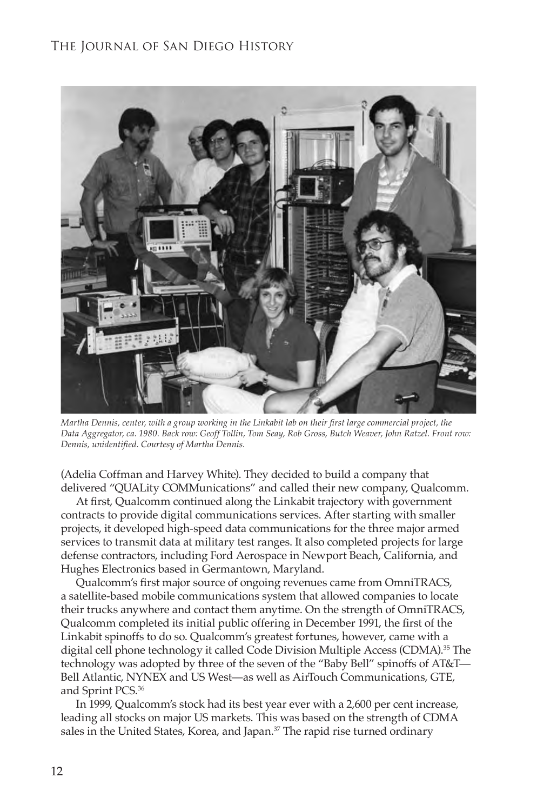

*Martha Dennis, center, with a group working in the Linkabit lab on their first large commercial project, the Data Aggregator, ca. 1980. Back row: Geoff Tollin, Tom Seay, Rob Gross, Butch Weaver, John Ratzel. Front row: Dennis, unidentified. Courtesy of Martha Dennis.*

(Adelia Coffman and Harvey White). They decided to build a company that delivered "QUALity COMMunications" and called their new company, Qualcomm.

At first, Qualcomm continued along the Linkabit trajectory with government contracts to provide digital communications services. After starting with smaller projects, it developed high-speed data communications for the three major armed services to transmit data at military test ranges. It also completed projects for large defense contractors, including Ford Aerospace in Newport Beach, California, and Hughes Electronics based in Germantown, Maryland.

Qualcomm's first major source of ongoing revenues came from OmniTRACS, a satellite-based mobile communications system that allowed companies to locate their trucks anywhere and contact them anytime. On the strength of OmniTRACS, Qualcomm completed its initial public offering in December 1991, the first of the Linkabit spinoffs to do so. Qualcomm's greatest fortunes, however, came with a digital cell phone technology it called Code Division Multiple Access (CDMA). <sup>35</sup> The technology was adopted by three of the seven of the "Baby Bell" spinoffs of AT&T— Bell Atlantic, NYNEX and US West—as well as AirTouch Communications, GTE, and Sprint PCS. 36

In 1999, Qualcomm's stock had its best year ever with a 2,600 per cent increase, leading all stocks on major US markets. This was based on the strength of CDMA sales in the United States, Korea, and Japan.<sup>37</sup> The rapid rise turned ordinary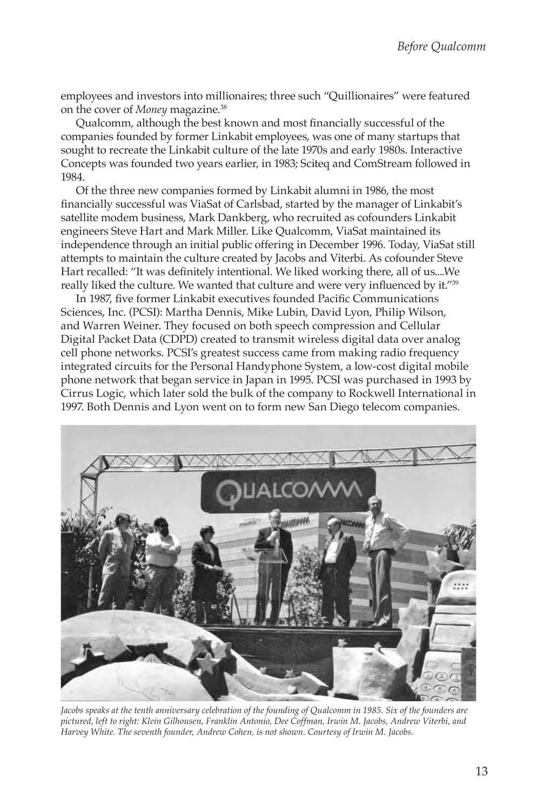employees and investors into millionaires; three such "Quillionaires" were featured on the cover of *Money* magazine.38

Qualcomm, although the best known and most financially successful of the companies founded by former Linkabit employees, was one of many startups that sought to recreate the Linkabit culture of the late 1970s and early 1980s. Interactive Concepts was founded two years earlier, in 1983; Sciteq and ComStream followed in 1984.

Of the three new companies formed by Linkabit alumni in 1986, the most financially successful was ViaSat of Carlsbad, started by the manager of Linkabit's satellite modem business, Mark Dankberg, who recruited as cofounders Linkabit engineers Steve Hart and Mark Miller. Like Qualcomm, ViaSat maintained its independence through an initial public offering in December 1996. Today, ViaSat still attempts to maintain the culture created by Jacobs and Viterbi. As cofounder Steve Hart recalled: "It was definitely intentional. We liked working there, all of us....We really liked the culture. We wanted that culture and were very influenced by it."<sup>39</sup>

In 1987, five former Linkabit executives founded Pacific Communications Sciences, Inc. (PCSI): Martha Dennis, Mike Lubin, David Lyon, Philip Wilson, and Warren Weiner. They focused on both speech compression and Cellular Digital Packet Data (CDPD) created to transmit wireless digital data over analog cell phone networks. PCSI's greatest success came from making radio frequency integrated circuits for the Personal Handyphone System, a low-cost digital mobile phone network that began service in Japan in 1995. PCSI was purchased in 1993 by Cirrus Logic, which later sold the bulk of the company to Rockwell International in 1997. Both Dennis and Lyon went on to form new San Diego telecom companies.



*Jacobs speaks at the tenth anniversary celebration of the founding of Qualcomm in 1985. Six of the founders are pictured, left to right: Klein Gilhousen, Franklin Antonio, Dee Coffman, Irwin M. Jacobs, Andrew Viterbi, and Harvey White. The seventh founder, Andrew Cohen, is not shown. Courtesy of Irwin M. Jacobs.*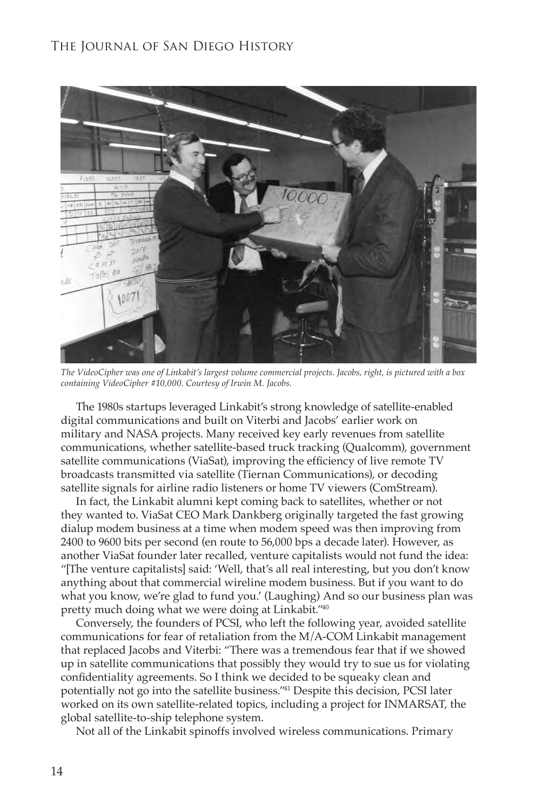

*The VideoCipher was one of Linkabit's largest volume commercial projects. Jacobs, right, is pictured with a box containing VideoCipher #10,000. Courtesy of Irwin M. Jacobs.*

The 1980s startups leveraged Linkabit's strong knowledge of satellite-enabled digital communications and built on Viterbi and Jacobs' earlier work on military and NASA projects. Many received key early revenues from satellite communications, whether satellite-based truck tracking (Qualcomm), government satellite communications (ViaSat), improving the efficiency of live remote TV broadcasts transmitted via satellite (Tiernan Communications), or decoding satellite signals for airline radio listeners or home TV viewers (ComStream).

In fact, the Linkabit alumni kept coming back to satellites, whether or not they wanted to. ViaSat CEO Mark Dankberg originally targeted the fast growing dialup modem business at a time when modem speed was then improving from 2400 to 9600 bits per second (en route to 56,000 bps a decade later). However, as another ViaSat founder later recalled, venture capitalists would not fund the idea: "[The venture capitalists] said: 'Well, that's all real interesting, but you don't know anything about that commercial wireline modem business. But if you want to do what you know, we're glad to fund you.' (Laughing) And so our business plan was pretty much doing what we were doing at Linkabit."40

Conversely, the founders of PCSI, who left the following year, avoided satellite communications for fear of retaliation from the M/A-COM Linkabit management that replaced Jacobs and Viterbi: "There was a tremendous fear that if we showed up in satellite communications that possibly they would try to sue us for violating confidentiality agreements. So I think we decided to be squeaky clean and potentially not go into the satellite business."41 Despite this decision, PCSI later worked on its own satellite-related topics, including a project for INMARSAT, the global satellite-to-ship telephone system.

Not all of the Linkabit spinoffs involved wireless communications. Primary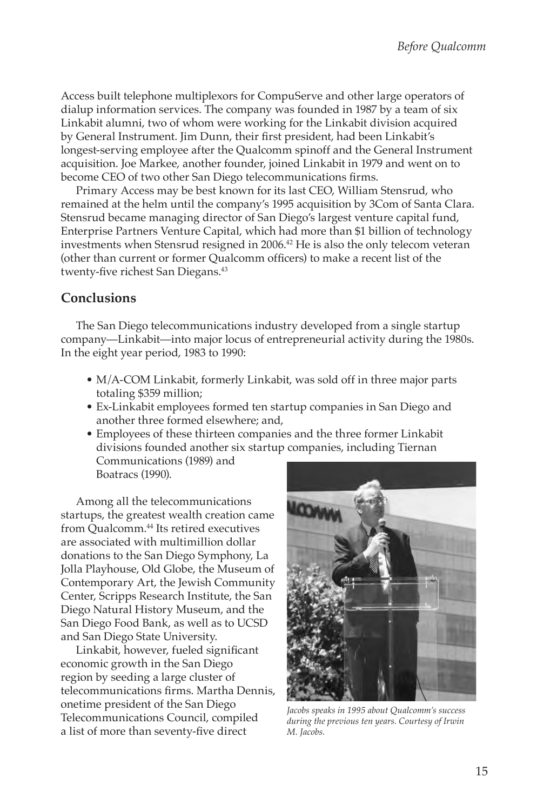Access built telephone multiplexors for CompuServe and other large operators of dialup information services. The company was founded in 1987 by a team of six Linkabit alumni, two of whom were working for the Linkabit division acquired by General Instrument. Jim Dunn, their first president, had been Linkabit's longest-serving employee after the Qualcomm spinoff and the General Instrument acquisition. Joe Markee, another founder, joined Linkabit in 1979 and went on to become CEO of two other San Diego telecommunications firms.

Primary Access may be best known for its last CEO, William Stensrud, who remained at the helm until the company's 1995 acquisition by 3Com of Santa Clara. Stensrud became managing director of San Diego's largest venture capital fund, Enterprise Partners Venture Capital, which had more than \$1 billion of technology investments when Stensrud resigned in 2006.<sup>42</sup> He is also the only telecom veteran (other than current or former Qualcomm officers) to make a recent list of the twenty-five richest San Diegans.<sup>43</sup>

#### **Conclusions**

The San Diego telecommunications industry developed from a single startup company—Linkabit—into major locus of entrepreneurial activity during the 1980s. In the eight year period, 1983 to 1990:

- M/A-COM Linkabit, formerly Linkabit, was sold off in three major parts totaling \$359 million;
- Ex-Linkabit employees formed ten startup companies in San Diego and another three formed elsewhere; and,
- Employees of these thirteen companies and the three former Linkabit divisions founded another six startup companies, including Tiernan Communications (1989) and Boatracs (1990).

Among all the telecommunications startups, the greatest wealth creation came from Qualcomm.<sup>44</sup> Its retired executives are associated with multimillion dollar donations to the San Diego Symphony, La Jolla Playhouse, Old Globe, the Museum of Contemporary Art, the Jewish Community Center, Scripps Research Institute, the San Diego Natural History Museum, and the San Diego Food Bank, as well as to UCSD and San Diego State University.

Linkabit, however, fueled significant economic growth in the San Diego region by seeding a large cluster of telecommunications firms. Martha Dennis, onetime president of the San Diego Telecommunications Council, compiled a list of more than seventy-five direct



*Jacobs speaks in 1995 about Qualcomm's success during the previous ten years. Courtesy of Irwin M. Jacobs.*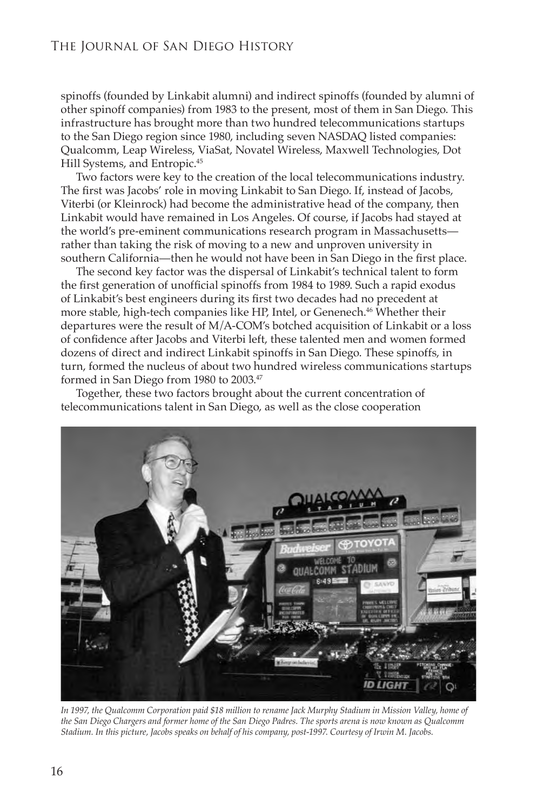spinoffs (founded by Linkabit alumni) and indirect spinoffs (founded by alumni of other spinoff companies) from 1983 to the present, most of them in San Diego. This infrastructure has brought more than two hundred telecommunications startups to the San Diego region since 1980, including seven NASDAQ listed companies: Qualcomm, Leap Wireless, ViaSat, Novatel Wireless, Maxwell Technologies, Dot Hill Systems, and Entropic.<sup>45</sup>

Two factors were key to the creation of the local telecommunications industry. The first was Jacobs' role in moving Linkabit to San Diego. If, instead of Jacobs, Viterbi (or Kleinrock) had become the administrative head of the company, then Linkabit would have remained in Los Angeles. Of course, if Jacobs had stayed at the world's pre-eminent communications research program in Massachusetts rather than taking the risk of moving to a new and unproven university in southern California—then he would not have been in San Diego in the first place.

The second key factor was the dispersal of Linkabit's technical talent to form the first generation of unofficial spinoffs from 1984 to 1989. Such a rapid exodus of Linkabit's best engineers during its first two decades had no precedent at more stable, high-tech companies like HP, Intel, or Genenech.<sup>46</sup> Whether their departures were the result of M/A-COM's botched acquisition of Linkabit or a loss of confidence after Jacobs and Viterbi left, these talented men and women formed dozens of direct and indirect Linkabit spinoffs in San Diego. These spinoffs, in turn, formed the nucleus of about two hundred wireless communications startups formed in San Diego from 1980 to 2003.47

Together, these two factors brought about the current concentration of telecommunications talent in San Diego, as well as the close cooperation



In 1997, the Qualcomm Corporation paid \$18 million to rename Jack Murphy Stadium in Mission Valley, home of *the San Diego Chargers and former home of the San Diego Padres. The sports arena is now known as Qualcomm Stadium. In this picture, Jacobs speaks on behalf of his company, post-1997. Courtesy of Irwin M. Jacobs.*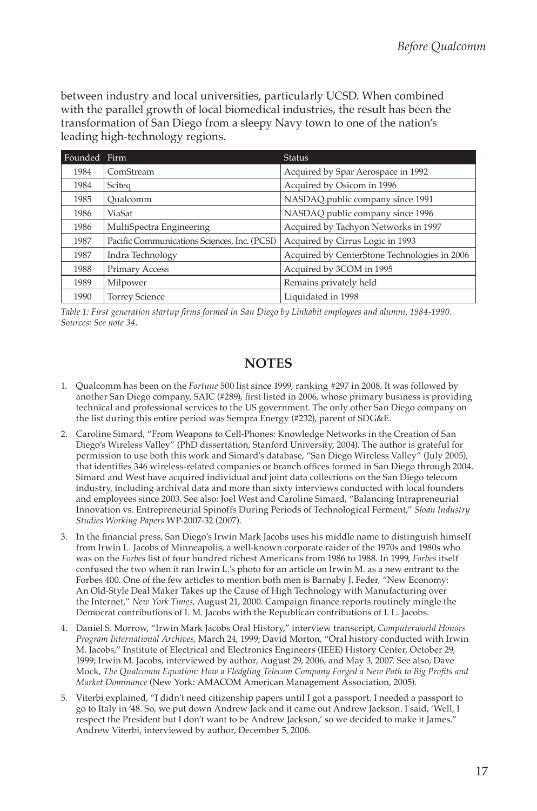between industry and local universities, particularly UCSD. When combined with the parallel growth of local biomedical industries, the result has been the transformation of San Diego from a sleepy Navy town to one of the nation's leading high-technology regions.

| Founded | Firm                                         | <b>Status</b>                                |
|---------|----------------------------------------------|----------------------------------------------|
| 1984    | ComStream                                    | Acquired by Spar Aerospace in 1992           |
| 1984    | Sciteg                                       | Acquired by Osicom in 1996                   |
| 1985    | Oualcomm                                     | NASDAQ public company since 1991             |
| 1986    | ViaSat                                       | NASDAQ public company since 1996             |
| 1986    | MultiSpectra Engineering                     | Acquired by Tachyon Networks in 1997         |
| 1987    | Pacific Communications Sciences, Inc. (PCSI) | Acquired by Cirrus Logic in 1993             |
| 1987    | Indra Technology                             | Acquired by CenterStone Technologies in 2006 |
| 1988    | <b>Primary Access</b>                        | Acquired by 3COM in 1995                     |
| 1989    | Milpower                                     | Remains privately held                       |
| 1990    | <b>Torrey Science</b>                        | Liquidated in 1998                           |

*Table 1: First generation startup firms formed in San Diego by Linkabit employees and alumni, 1984-1990. Sources: See note 34.*

### **NOTES**

- 1. Qualcomm has been on the *Fortune* 500 list since 1999, ranking #297 in 2008. It was followed by another San Diego company, SAIC (#289), first listed in 2006, whose primary business is providing technical and professional services to the US government. The only other San Diego company on the list during this entire period was Sempra Energy (#232), parent of SDG&E.
- 2. Caroline Simard, "From Weapons to Cell-Phones: Knowledge Networks in the Creation of San Diego's Wireless Valley" (PhD dissertation, Stanford University, 2004). The author is grateful for permission to use both this work and Simard's database, "San Diego Wireless Valley" (July 2005), that identifies 346 wireless-related companies or branch offices formed in San Diego through 2004. Simard and West have acquired individual and joint data collections on the San Diego telecom industry, including archival data and more than sixty interviews conducted with local founders and employees since 2003. See also: Joel West and Caroline Simard, "Balancing Intrapreneurial Innovation vs. Entrepreneurial Spinoffs During Periods of Technological Ferment," *Sloan Industry Studies Working Papers* WP-2007-32 (2007).
- 3. In the financial press, San Diego's Irwin Mark Jacobs uses his middle name to distinguish himself from Irwin L. Jacobs of Minneapolis, a well-known corporate raider of the 1970s and 1980s who was on the *Forbes* list of four hundred richest Americans from 1986 to 1988. In 1999, *Forbes* itself confused the two when it ran Irwin L.'s photo for an article on Irwin M. as a new entrant to the Forbes 400. One of the few articles to mention both men is Barnaby J. Feder, "New Economy: An Old-Style Deal Maker Takes up the Cause of High Technology with Manufacturing over the Internet," *New York Times,* August 21, 2000. Campaign finance reports routinely mingle the Democrat contributions of I. M. Jacobs with the Republican contributions of I. L. Jacobs.
- 4. Daniel S. Morrow, "Irwin Mark Jacobs Oral History," interview transcript, *Computerworld Honors Program International Archives,* March 24, 1999; David Morton, "Oral history conducted with Irwin M. Jacobs," Institute of Electrical and Electronics Engineers (IEEE) History Center, October 29, 1999; Irwin M. Jacobs, interviewed by author, August 29, 2006, and May 3, 2007. See also, Dave Mock, *The Qualcomm Equation: How a Fledgling Telecom Company Forged a New Path to Big Profits and Market Dominance* (New York: AMACOM American Management Association, 2005).
- 5. Viterbi explained, "I didn't need citizenship papers until I got a passport. I needed a passport to go to Italy in '48. So, we put down Andrew Jack and it came out Andrew Jackson. I said, 'Well, I respect the President but I don't want to be Andrew Jackson,' so we decided to make it James." Andrew Viterbi, interviewed by author, December 5, 2006.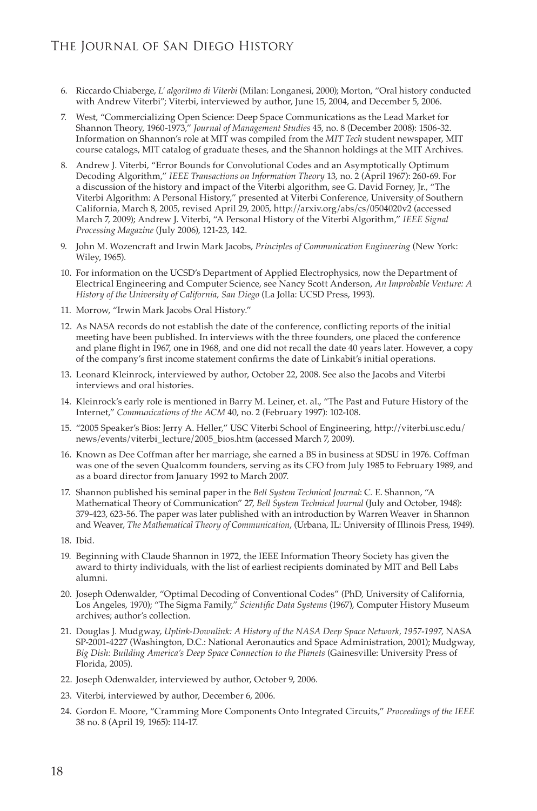- 6. Riccardo Chiaberge, *L' algoritmo di Viterbi* (Milan: Longanesi, 2000); Morton, "Oral history conducted with Andrew Viterbi"; Viterbi, interviewed by author, June 15, 2004, and December 5, 2006.
- 7. West, "Commercializing Open Science: Deep Space Communications as the Lead Market for Shannon Theory, 1960-1973," *Journal of Management Studies* 45, no. 8 (December 2008): 1506-32. Information on Shannon's role at MIT was compiled from the *MIT Tech* student newspaper, MIT course catalogs, MIT catalog of graduate theses, and the Shannon holdings at the MIT Archives.
- 8. Andrew J. Viterbi, "Error Bounds for Convolutional Codes and an Asymptotically Optimum Decoding Algorithm," *IEEE Transactions on Information Theory* 13, no. 2 (April 1967): 260-69. For a discussion of the history and impact of the Viterbi algorithm, see G. David Forney, Jr., "The Viterbi Algorithm: A Personal History," presented at Viterbi Conference, University of Southern California, March 8, 2005, revised April 29, 2005, http://arxiv.org/abs/cs/0504020v2 (accessed March 7, 2009); Andrew J. Viterbi, "A Personal History of the Viterbi Algorithm," *IEEE Signal Processing Magazine* (July 2006), 121-23, 142.
- 9. John M. Wozencraft and Irwin Mark Jacobs, *Principles of Communication Engineering* (New York: Wiley, 1965).
- 10. For information on the UCSD 's Department of Applied Electrophysics, now the Department of Electrical Engineering and Computer Science, see Nancy Scott Anderson, *An Improbable Venture: A History of the University of California, San Diego* (La Jolla: UCSD Press, 1993).
- 11. Morrow, "Irwin Mark Jacobs Oral History."
- 12. As NASA records do not establish the date of the conference, conflicting reports of the initial meeting have been published. In interviews with the three founders, one placed the conference and plane flight in 1967, one in 1968, and one did not recall the date 40 years later. However, a copy of the company's first income statement confirms the date of Linkabit's initial operations.
- 13. Leonard Kleinrock, interviewed by author, October 22, 2008. See also the Jacobs and Viterbi interviews and oral histories.
- 14. Kleinrock's early role is mentioned in Barry M. Leiner, et. al., "The Past and Future History of the Internet," *Communications of the ACM* 40, no. 2 (February 1997): 102-108.
- 15. "2005 Speaker's Bios: Jerry A. Heller," USC Viterbi School of Engineering, http://viterbi.usc.edu/ news/events/viterbi\_lecture/2005\_bios.htm (accessed March 7, 2009).
- 16. Known as Dee Coffman after her marriage, she earned a BS in business at SDSU in 1976. Coffman was one of the seven Qualcomm founders, serving as its CFO from July 1985 to February 1989, and as a board director from January 1992 to March 2007.
- 17. Shannon published his seminal paper in the *Bell System Technical Journal*: C. E. Shannon, "A Mathematical Theory of Communication" 27, *Bell System Technical Journal* (July and October, 1948): 379-423, 623-56. The paper was later published with an introduction by Warren Weaver in Shannon and Weaver, *The Mathematical Theory of Communication*, (Urbana, IL: University of Illinois Press, 1949).
- 18. Ibid.
- 19. Beginning with Claude Shannon in 1972, the IEEE Information Theory Society has given the award to thirty individuals, with the list of earliest recipients dominated by MIT and Bell Labs alumni.
- 20. Joseph Odenwalder, "Optimal Decoding of Conventional Codes" (PhD, University of California, Los Angeles, 1970); "The Sigma Family," *Scientific Data Systems* (1967), Computer History Museum archives; author's collection.
- 21. Douglas J. Mudgway, *Uplink-Downlink: A History of the NASA Deep Space Network, 1957-1997,* NASA SP-2001-4227 (Washington, D.C.: National Aeronautics and Space Administration, 2001); Mudgway, *Big Dish: Building America's Deep Space Connection to the Planets* (Gainesville: University Press of Florida, 2005).
- 22. Joseph Odenwalder, interviewed by author, October 9, 2006.
- 23. Viterbi, interviewed by author, December 6, 2006.
- 24. Gordon E. Moore, "Cramming More Components Onto Integrated Circuits," *Proceedings of the IEEE* 38 no. 8 (April 19, 1965): 114-17.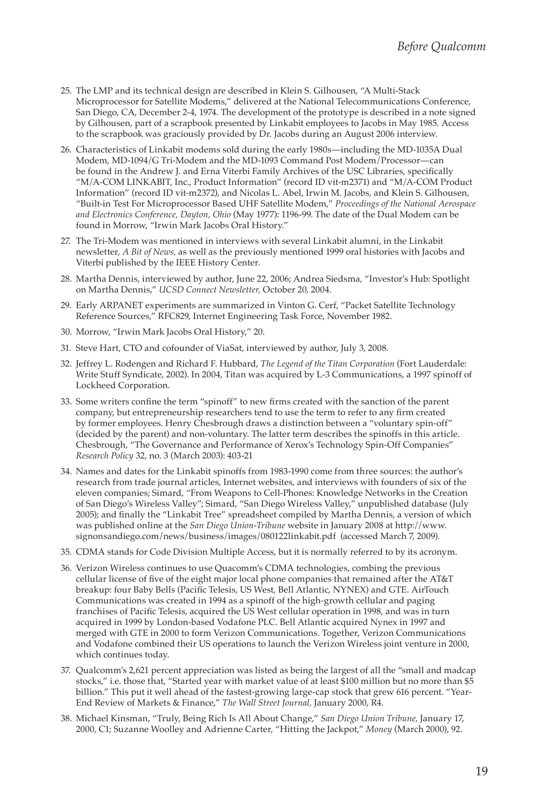- 25. The LMP and its technical design are described in Klein S. Gilhousen, "A Multi-Stack Microprocessor for Satellite Modems," delivered at the National Telecommunications Conference, San Diego, CA, December 2-4, 1974. The development of the prototype is described in a note signed by Gilhousen, part of a scrapbook presented by Linkabit employees to Jacobs in May 1985. Access to the scrapbook was graciously provided by Dr. Jacobs during an August 2006 interview.
- 26. Characteristics of Linkabit modems sold during the early 1980s—including the MD-1035A Dual Modem, MD-1094/G Tri-Modem and the MD-1093 Command Post Modem/Processor—can be found in the Andrew J. and Erna Viterbi Family Archives of the USC Libraries, specifically "M/A-COM LINKABIT, Inc., Product Information" (record ID vit-m2371) and "M/A-COM Product Information" (record ID vit-m2372), and Nicolas L. Abel, Irwin M. Jacobs, and Klein S. Gilhousen, "Built-in Test For Microprocessor Based UHF Satellite Modem," *Proceedings of the National Aerospace and Electronics Conference, Dayton, Ohio* (May 1977): 1196-99. The date of the Dual Modem can be found in Morrow, "Irwin Mark Jacobs Oral History."
- 27. The Tri-Modem was mentioned in interviews with several Linkabit alumni, in the Linkabit newsletter, *A Bit of News,* as well as the previously mentioned 1999 oral histories with Jacobs and Viterbi published by the IEEE History Center.
- 28. Martha Dennis, interviewed by author, June 22, 2006; Andrea Siedsma, "Investor's Hub: Spotlight on Martha Dennis," *UCSD Connect Newsletter,* October 20, 2004.
- 29. Early ARPANET experiments are summarized in Vinton G. Cerf, "Packet Satellite Technology Reference Sources," RFC829, Internet Engineering Task Force, November 1982.
- 30. Morrow, "Irwin Mark Jacobs Oral History," 20.
- 31. Steve Hart, CTO and cofounder of ViaSat, interviewed by author, July 3, 2008.
- 32. Jeffrey L. Rodengen and Richard F. Hubbard, *The Legend of the Titan Corporation* (Fort Lauderdale: Write Stuff Syndicate, 2002). In 2004, Titan was acquired by L-3 Communications, a 1997 spinoff of Lockheed Corporation.
- 33. Some writers confine the term "spinoff" to new firms created with the sanction of the parent company, but entrepreneurship researchers tend to use the term to refer to any firm created by former employees. Henry Chesbrough draws a distinction between a "voluntary spin-off" (decided by the parent) and non-voluntary. The latter term describes the spinoffs in this article. Chesbrough, "The Governance and Performance of Xerox's Technology Spin-Off Companies" *Research Policy* 32, no. 3 (March 2003): 403-21
- 34. Names and dates for the Linkabit spinoffs from 1983-1990 come from three sources: the author's research from trade journal articles, Internet websites, and interviews with founders of six of the eleven companies; Simard, "From Weapons to Cell-Phones: Knowledge Networks in the Creation of San Diego's Wireless Valley"; Simard, "San Diego Wireless Valley," unpublished database (July 2005); and finally the "Linkabit Tree" spreadsheet compiled by Martha Dennis, a version of which was published online at the *San Diego Union-Tribune* website in January 2008 at http://www. signonsandiego.com/news/business/images/080122linkabit.pdf (accessed March 7, 2009).
- 35. CDMA stands for Code Division Multiple Access, but it is normally referred to by its acronym.
- 36. Verizon Wireless continues to use Quacomm's CDMA technologies, combing the previous cellular license of five of the eight major local phone companies that remained after the AT&T breakup: four Baby Bells (Pacific Telesis, US West, Bell Atlantic, NYNEX) and GTE. AirTouch Communications was created in 1994 as a spinoff of the high-growth cellular and paging franchises of Pacific Telesis, acquired the US West cellular operation in 1998, and was in turn acquired in 1999 by London-based Vodafone PLC. Bell Atlantic acquired Nynex in 1997 and merged with GTE in 2000 to form Verizon Communications. Together, Verizon Communications and Vodafone combined their US operations to launch the Verizon Wireless joint venture in 2000, which continues today.
- 37. Qualcomm's 2,621 percent appreciation was listed as being the largest of all the "small and madcap stocks," i.e. those that, "Started year with market value of at least \$100 million but no more than \$5 billion." This put it well ahead of the fastest-growing large-cap stock that grew 616 percent. "Year-End Review of Markets & Finance," *The Wall Street Journal,* January 2000, R4.
- 38. Michael Kinsman, "Truly, Being Rich Is All About Change," *San Diego Union Tribune,* January 17, 2000, C1; Suzanne Woolley and Adrienne Carter, "Hitting the Jackpot," *Money* (March 2000), 92.